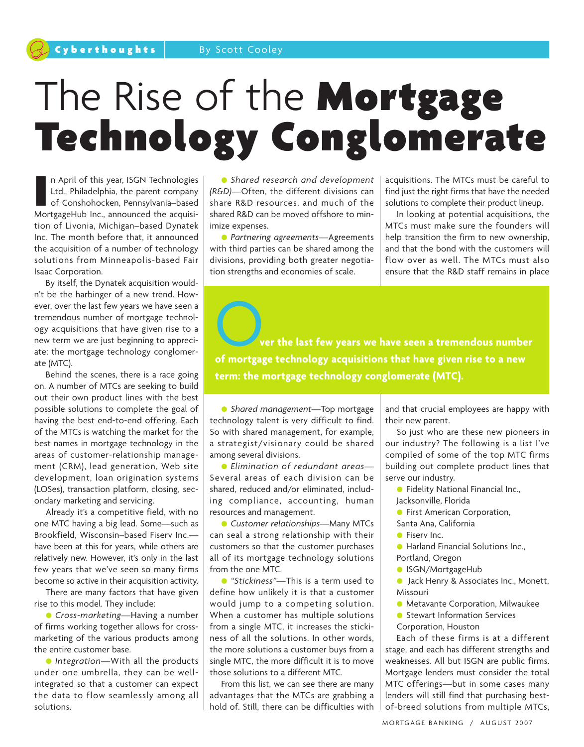# The Rise of the Mortgage Technology Conglomerate

In April of this year, ISGN Technologies<br>Ltd., Philadelphia, the parent company<br>of Conshohocken, Pennsylvania–based<br>MortgageHub Inc., announced the acquisin April of this year, ISGN Technologies Ltd., Philadelphia, the parent company of Conshohocken, Pennsylvania–based tion of Livonia, Michigan–based Dynatek Inc. The month before that, it announced the acquisition of a number of technology solutions from Minneapolis-based Fair Isaac Corporation.

By itself, the Dynatek acquisition wouldn't be the harbinger of a new trend. However, over the last few years we have seen a tremendous number of mortgage technology acquisitions that have given rise to a new term we are just beginning to appreciate: the mortgage technology conglomerate (MTC).

Behind the scenes, there is a race going on. A number of MTCs are seeking to build out their own product lines with the best possible solutions to complete the goal of having the best end-to-end offering. Each of the MTCs is watching the market for the best names in mortgage technology in the areas of customer-relationship management (CRM), lead generation, Web site development, loan origination systems (LOSes), transaction platform, closing, secondary marketing and servicing.

Already it's a competitive field, with no one MTC having a big lead. Some—such as Brookfield, Wisconsin–based Fiserv Inc. have been at this for years, while others are relatively new. However, it's only in the last few years that we've seen so many firms become so active in their acquisition activity.

There are many factors that have given rise to this model. They include:

● *Cross-marketing—*Having a number of firms working together allows for crossmarketing of the various products among the entire customer base.

● *Integration—*With all the products under one umbrella, they can be wellintegrated so that a customer can expect the data to flow seamlessly among all solutions.

● *Shared research and development (R&D)—*Often, the different divisions can share R&D resources, and much of the shared R&D can be moved offshore to minimize expenses.

● *Partnering agreements—*Agreements with third parties can be shared among the divisions, providing both greater negotiation strengths and economies of scale.

acquisitions. The MTCs must be careful to find just the right firms that have the needed solutions to complete their product lineup.

In looking at potential acquisitions, the MTCs must make sure the founders will help transition the firm to new ownership, and that the bond with the customers will flow over as well. The MTCs must also ensure that the R&D staff remains in place

O**ver the last few years we have seen <sup>a</sup> tremendous number of mortgage technology acquisitions that have given rise to a new term: the mortgage technology conglomerate (MTC).**

● *Shared management—*Top mortgage technology talent is very difficult to find. So with shared management, for example, a strategist/visionary could be shared among several divisions.

● *Elimination of redundant areas—* Several areas of each division can be shared, reduced and/or eliminated, including compliance, accounting, human resources and management.

● *Customer relationships—*Many MTCs can seal a strong relationship with their customers so that the customer purchases all of its mortgage technology solutions from the one MTC.

● *"Stickiness"—*This is a term used to define how unlikely it is that a customer would jump to a competing solution. When a customer has multiple solutions from a single MTC, it increases the stickiness of all the solutions. In other words, the more solutions a customer buys from a single MTC, the more difficult it is to move those solutions to a different MTC.

From this list, we can see there are many advantages that the MTCs are grabbing a hold of. Still, there can be difficulties with and that crucial employees are happy with their new parent.

So just who are these new pioneers in our industry? The following is a list I've compiled of some of the top MTC firms building out complete product lines that serve our industry.

- Fidelity National Financial Inc.,
- Jacksonville, Florida
- **First American Corporation,**
- Santa Ana, California
- Fiserv Inc.
- Harland Financial Solutions Inc.,
- Portland, Oregon
- ISGN/MortgageHub
- Jack Henry & Associates Inc., Monett, Missouri
- Metavante Corporation, Milwaukee
- Stewart Information Services Corporation, Houston

Each of these firms is at a different stage, and each has different strengths and weaknesses. All but ISGN are public firms. Mortgage lenders must consider the total MTC offerings—but in some cases many lenders will still find that purchasing bestof-breed solutions from multiple MTCs,